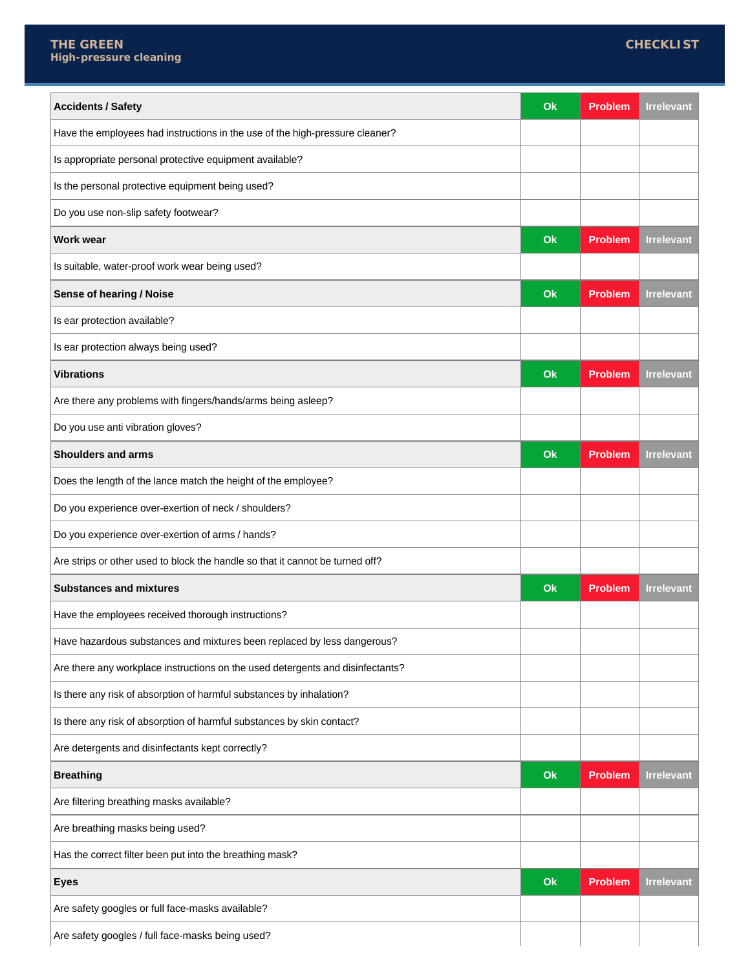| <b>Accidents / Safety</b>                                                      | Ok | <b>Problem</b> | <b>Irrelevant</b> |
|--------------------------------------------------------------------------------|----|----------------|-------------------|
| Have the employees had instructions in the use of the high-pressure cleaner?   |    |                |                   |
| Is appropriate personal protective equipment available?                        |    |                |                   |
| Is the personal protective equipment being used?                               |    |                |                   |
| Do you use non-slip safety footwear?                                           |    |                |                   |
| <b>Work wear</b>                                                               | Ok | <b>Problem</b> | <b>Irrelevant</b> |
| Is suitable, water-proof work wear being used?                                 |    |                |                   |
| Sense of hearing / Noise                                                       | Ok | <b>Problem</b> | <b>Irrelevant</b> |
| Is ear protection available?                                                   |    |                |                   |
| Is ear protection always being used?                                           |    |                |                   |
| <b>Vibrations</b>                                                              | Ok | <b>Problem</b> | <b>Irrelevant</b> |
| Are there any problems with fingers/hands/arms being asleep?                   |    |                |                   |
| Do you use anti vibration gloves?                                              |    |                |                   |
| <b>Shoulders and arms</b>                                                      | Ok | <b>Problem</b> | <b>Irrelevant</b> |
| Does the length of the lance match the height of the employee?                 |    |                |                   |
| Do you experience over-exertion of neck / shoulders?                           |    |                |                   |
| Do you experience over-exertion of arms / hands?                               |    |                |                   |
| Are strips or other used to block the handle so that it cannot be turned off?  |    |                |                   |
| <b>Substances and mixtures</b>                                                 | Ok | <b>Problem</b> | <b>Irrelevant</b> |
| Have the employees received thorough instructions?                             |    |                |                   |
| Have hazardous substances and mixtures been replaced by less dangerous?        |    |                |                   |
| Are there any workplace instructions on the used detergents and disinfectants? |    |                |                   |
| Is there any risk of absorption of harmful substances by inhalation?           |    |                |                   |
| Is there any risk of absorption of harmful substances by skin contact?         |    |                |                   |
| Are detergents and disinfectants kept correctly?                               |    |                |                   |
| <b>Breathing</b>                                                               | Ok | <b>Problem</b> | <b>Irrelevant</b> |
| Are filtering breathing masks available?                                       |    |                |                   |
| Are breathing masks being used?                                                |    |                |                   |
| Has the correct filter been put into the breathing mask?                       |    |                |                   |
| <b>Eyes</b>                                                                    | Ok | <b>Problem</b> | <b>Irrelevant</b> |
| Are safety googles or full face-masks available?                               |    |                |                   |
| Are safety googles / full face-masks being used?                               |    |                |                   |